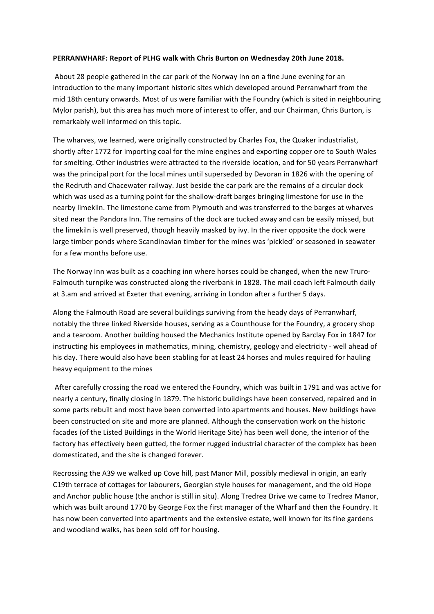## PERRANWHARF: Report of PLHG walk with Chris Burton on Wednesday 20th June 2018.

About 28 people gathered in the car park of the Norway Inn on a fine June evening for an introduction to the many important historic sites which developed around Perranwharf from the mid 18th century onwards. Most of us were familiar with the Foundry (which is sited in neighbouring Mylor parish), but this area has much more of interest to offer, and our Chairman, Chris Burton, is remarkably well informed on this topic.

The wharves, we learned, were originally constructed by Charles Fox, the Quaker industrialist, shortly after 1772 for importing coal for the mine engines and exporting copper ore to South Wales for smelting. Other industries were attracted to the riverside location, and for 50 years Perranwharf was the principal port for the local mines until superseded by Devoran in 1826 with the opening of the Redruth and Chacewater railway. Just beside the car park are the remains of a circular dock which was used as a turning point for the shallow-draft barges bringing limestone for use in the nearby limekiln. The limestone came from Plymouth and was transferred to the barges at wharves sited near the Pandora Inn. The remains of the dock are tucked away and can be easily missed, but the limekiln is well preserved, though heavily masked by ivy. In the river opposite the dock were large timber ponds where Scandinavian timber for the mines was 'pickled' or seasoned in seawater for a few months before use.

The Norway Inn was built as a coaching inn where horses could be changed, when the new Truro-Falmouth turnpike was constructed along the riverbank in 1828. The mail coach left Falmouth daily at 3.am and arrived at Exeter that evening, arriving in London after a further 5 days.

Along the Falmouth Road are several buildings surviving from the heady days of Perranwharf, notably the three linked Riverside houses, serving as a Counthouse for the Foundry, a grocery shop and a tearoom. Another building housed the Mechanics Institute opened by Barclay Fox in 1847 for instructing his employees in mathematics, mining, chemistry, geology and electricity - well ahead of his day. There would also have been stabling for at least 24 horses and mules required for hauling heavy equipment to the mines

After carefully crossing the road we entered the Foundry, which was built in 1791 and was active for nearly a century, finally closing in 1879. The historic buildings have been conserved, repaired and in some parts rebuilt and most have been converted into apartments and houses. New buildings have been constructed on site and more are planned. Although the conservation work on the historic facades (of the Listed Buildings in the World Heritage Site) has been well done, the interior of the factory has effectively been gutted, the former rugged industrial character of the complex has been domesticated, and the site is changed forever.

Recrossing the A39 we walked up Cove hill, past Manor Mill, possibly medieval in origin, an early C19th terrace of cottages for labourers, Georgian style houses for management, and the old Hope and Anchor public house (the anchor is still in situ). Along Tredrea Drive we came to Tredrea Manor, which was built around 1770 by George Fox the first manager of the Wharf and then the Foundry. It has now been converted into apartments and the extensive estate, well known for its fine gardens and woodland walks, has been sold off for housing.